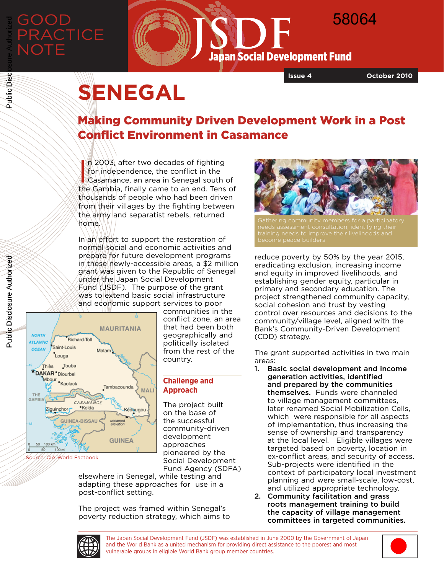Public Disclosure Authorized

## GOOD **RACTICE NOTE**



**Issue 4 October 2010**

# **SENEGAL**

### Making Community Driven Development Work in a Post Conflict Environment in Casamance

In 2003, after two decades of fighting<br>for independence, the conflict in the<br>Casamance, an area in Senegal south of<br>the Gambia, finally came to an end. Tens of n 2003, after two decades of fighting for independence, the conflict in the Casamance, an area in Senegal south of thousands of people who had been driven from their villages by the fighting between the army and separatist rebels, returned home.

In  $\frac{1}{2}$  ln  $\frac{1}{2}$  and the restoration of normal social and economic activities and prepare for future development programs in these newly-accessible areas, a \$2 million grant was given to the Republic of Senegal under the Japan Social Development Fund (JSDF). The purpose of the grant was to extend basic social infrastructure and economic support services to poor



communities in the conflict zone, an area that had been both geographically and politically isolated from the rest of the country.

#### **Challenge and Approach**

The project built on the base of the successful community-driven development approaches pioneered by the Social Development Fund Agency (SDFA)

elsewhere in Senegal, while testing and adapting these approaches for use in a post-conflict setting.

The project was framed within Senegal's poverty reduction strategy, which aims to



reduce poverty by 50% by the year 2015, eradicating exclusion, increasing income and equity in improved livelihoods, and establishing gender equity, particular in primary and secondary education. The project strengthened community capacity, social cohesion and trust by vesting control over resources and decisions to the community/village level, aligned with the Bank's Community-Driven Development (CDD) strategy.

The grant supported activities in two main areas:

- 1. Basic social development and income generation activities, identified and prepared by the communities themselves. Funds were channeled to village management committees, later renamed Social Mobilization Cells, which were responsible for all aspects of implementation, thus increasing the sense of ownership and transparency at the local level. Eligible villages were targeted based on poverty, location in ex-conflict areas, and security of access. Sub-projects were identified in the context of participatory local investment planning and were small-scale, low-cost, and utilized appropriate technology.
- 2. Community facilitation and grass roots management training to build the capacity of village management committees in targeted communities.





Source: CIA World Factbook

The Japan Social Development Fund (JSDF) was established in June 2000 by the Government of Japan and the World Bank as a united mechanism for providing direct assistance to the poorest and most vulnerable groups in eligible World Bank group member countries.

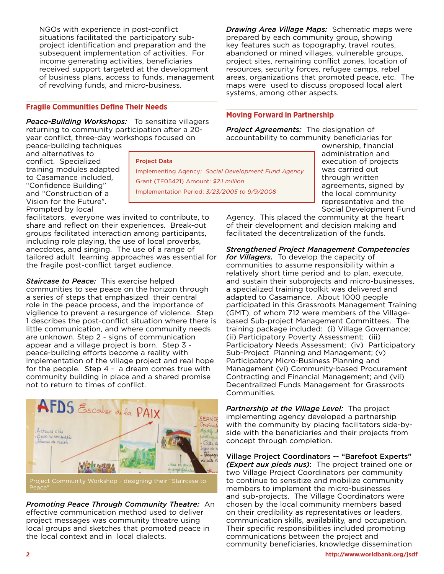NGOs with experience in post-conflict situations facilitated the participatory subproject identification and preparation and the subsequent implementation of activities. For income generating activities, beneficiaries received support targeted at the development of business plans, access to funds, management of revolving funds, and micro-business.

#### **Fragile Communities Define Their Needs**

*Peace-Building Workshops:* To sensitize villagers returning to community participation after a 20 year conflict, three-day workshops focused on

peace-building techniques and alternatives to conflict. Specialized training modules adapted to Casamance included, "Confidence Building" and "Construction of a Vision for the Future". Prompted by local

#### Project Data

Implementing Agency*: Social Development Fund Agency* Grant (TF05421) Amount: *\$2.1 million* Implementation Period: *3/23/2005 to 9/9/2008*

facilitators, everyone was invited to contribute, to share and reflect on their experiences. Break-out groups facilitated interaction among participants, including role playing, the use of local proverbs, anecdotes, and singing. The use of a range of tailored adult learning approaches was essential for the fragile post-conflict target audience.

*Staircase to Peace:* This exercise helped communities to see peace on the horizon through a series of steps that emphasized their central role in the peace process, and the importance of vigilence to prevent a resurgence of violence. Step 1 describes the post-conflict situation where there is little communication, and where community needs are unknown. Step 2 - signs of communication appear and a village project is born. Step 3 peace-building efforts become a reality with implementation of the village project and real hope for the people. Step 4 - a dream comes true with community building in place and a shared promise not to return to times of conflict.



*Promoting Peace Through Community Theatre:* An effective communication method used to deliver project messages was community theatre using local groups and sketches that promoted peace in the local context and in local dialects.

*Drawing Area Village Maps:* Schematic maps were prepared by each community group, showing key features such as topography, travel routes, abandoned or mined villages, vulnerable groups, project sites, remaining conflict zones, location of resources, security forces, refugee camps, rebel areas, organizations that promoted peace, etc. The maps were used to discuss proposed local alert systems, among other aspects.

#### **Moving Forward in Partnership**

*Project Agreements:* The designation of accountability to community beneficiaries for

ownership, financial administration and execution of projects was carried out through written agreements, signed by the local community representative and the Social Development Fund

Agency. This placed the community at the heart of their development and decision making and facilitated the decentralization of the funds.

*Strengthened Project Management Competencies* 

*for Villagers.* To develop the capacity of communities to assume responsibility within a relatively short time period and to plan, execute, and sustain their subprojects and micro-businesses, a specialized training toolkit was delivered and adapted to Casamance. About 1000 people participated in this Grassroots Management Training (GMT), of whom 712 were members of the Villagebased Sub-project Management Committees. The training package included: (i) Village Governance; (ii) Participatory Poverty Assessment; (iii) Participatory Needs Assessment; (iv) Participatory Sub-Project Planning and Management; (v) Participatory Micro-Business Planning and Management (vi) Community-based Procurement Contracting and Financial Management; and (vii) Decentralized Funds Management for Grassroots Communities.

*Partnership at the Village Level:* The project implementing agency developed a partnership with the community by placing facilitators side-byside with the beneficiaries and their projects from concept through completion.

Village Project Coordinators -- "Barefoot Experts" *(Expert aux pieds nus)*: The project trained one or two Village Project Coordinators per community to continue to sensitize and mobilize community members to implement the micro-businesses and sub-projects. The Village Coordinators were chosen by the local community members based on their credibility as representatives or leaders, communication skills, availability, and occupation. Their specific responsibilities included promoting communications between the project and community beneficiaries, knowledge dissemination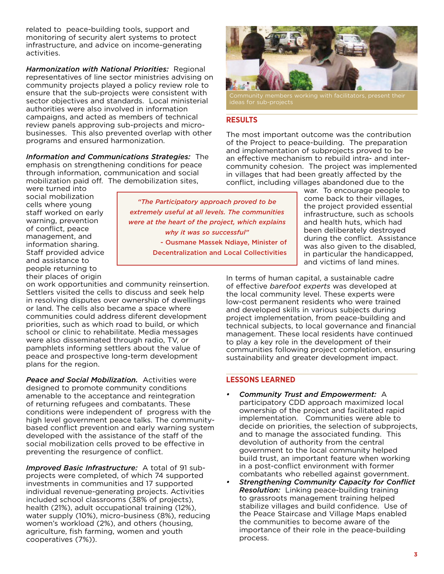related to peace-building tools, support and monitoring of security alert systems to protect infrastructure, and advice on income-generating activities.

*Harmonization with National Priorities:* Regional representatives of line sector ministries advising on community projects played a policy review role to ensure that the sub-projects were consistent with sector objectives and standards. Local ministerial authorities were also involved in information campaigns, and acted as members of technical review panels approving sub-projects and microbusinesses. This also prevented overlap with other programs and ensured harmonization.

*Information and Communications Strategies:* The emphasis on strengthening conditions for peace through information, communication and social mobilization paid off. The demobilization sites,



#### **RESULTS**

The most important outcome was the contribution of the Project to peace-building. The preparation and implementation of subprojects proved to be an effective mechanism to rebuild intra- and intercommunity cohesion. The project was implemented in villages that had been greatly affected by the conflict, including villages abandoned due to the

were turned into social mobilization cells where young staff worked on early warning, prevention of conflict, peace management, and information sharing. Staff provided advice and assistance to people returning to their places of origin

*"The Participatory approach proved to be extremely useful at all levels. The communities were at the heart of the project, which explains why it was so successful"* - Ousmane Massek Ndiaye, Minister of Decentralization and Local Collectivities

war. To encourage people to come back to their villages, the project provided essential infrastructure, such as schools and health huts, which had been deliberately destroyed during the conflict. Assistance was also given to the disabled, in particular the handicapped, and victims of land mines.

In terms of human capital, a sustainable cadre of effective *barefoot experts* was developed at the local community level. These experts were low-cost permanent residents who were trained and developed skills in various subjects during project implementation, from peace-building and technical subjects, to local governance and financial management. These local residents have continued to play a key role in the development of their communities following project completion, ensuring sustainability and greater development impact.

#### **LESSONS LEARNED**

- *• Community Trust and Empowerment:* A participatory CDD approach maximized local ownership of the project and facilitated rapid implementation. Communities were able to decide on priorities, the selection of subprojects, and to manage the associated funding. This devolution of authority from the central government to the local community helped build trust, an important feature when working in a post-conflict environment with former combatants who rebelled against government.
- *• Strengthening Community Capacity for Conflict Resolution:* Linking peace-building training to grassroots management training helped stabilize villages and build confidence. Use of the Peace Staircase and Village Maps enabled the communities to become aware of the importance of their role in the peace-building process.

on work opportunities and community reinsertion. Settlers visited the cells to discuss and seek help in resolving disputes over ownership of dwellings or land. The cells also became a space where communities could address diferent development priorities, such as which road to build, or which school or clinic to rehabilitate. Media messages were also disseminated through radio, TV, or pamphlets informing settlers about the value of peace and prospective long-term development plans for the region.

*Peace and Social Mobilization.* Activities were designed to promote community conditions amenable to the acceptance and reintegration of returning refugees and combatants. These conditions were independent of progress with the high level government peace talks. The communitybased conflict prevention and early warning system developed with the assistance of the staff of the social mobilization cells proved to be effective in preventing the resurgence of conflict.

*Improved Basic Infrastructure:* A total of 91 subprojects were completed, of which 74 supported investments in communities and 17 supported individual revenue-generating projects. Activities included school classrooms (38% of projects), health (21%), adult occupational training (12%), water supply (10%), micro-business (8%), reducing women's workload (2%), and others (housing, agriculture, fish farming, women and youth cooperatives (7%)).